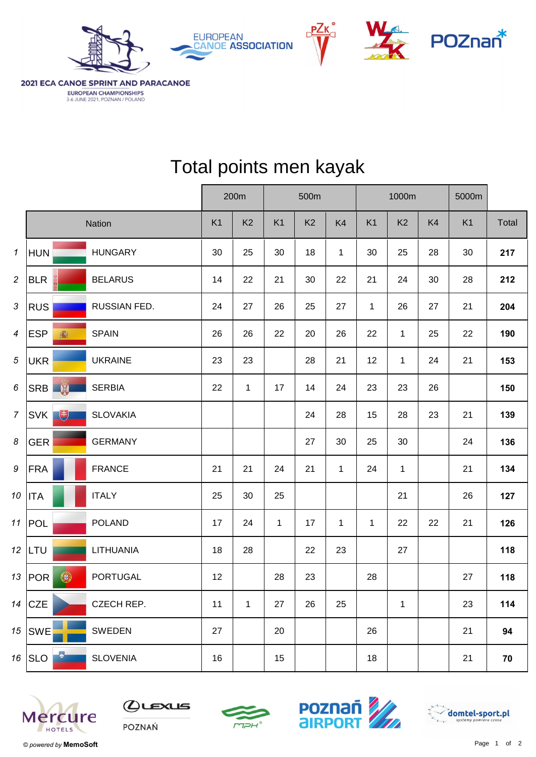





2021 ECA CANOE SPRINT AND PARACANOE EUROPEAN CHAMPIONSHIPS 3-6 JUNE 2021, POZNAN / POLAND

|                  |                          |                 | 200m |                |                | 500m           |                | 1000m          |                |    | 5000m          |       |
|------------------|--------------------------|-----------------|------|----------------|----------------|----------------|----------------|----------------|----------------|----|----------------|-------|
|                  |                          | Nation          | K1   | K <sub>2</sub> | K <sub>1</sub> | K <sub>2</sub> | K <sub>4</sub> | K <sub>1</sub> | K <sub>2</sub> | K4 | K <sub>1</sub> | Total |
| 1                | <b>HUN</b>               | <b>HUNGARY</b>  | 30   | 25             | 30             | 18             | $\mathbf{1}$   | 30             | 25             | 28 | 30             | 217   |
| $\overline{c}$   | <b>BLR</b>               | <b>BELARUS</b>  | 14   | 22             | 21             | 30             | 22             | 21             | 24             | 30 | 28             | 212   |
| $\sqrt{3}$       | <b>RUS</b>               | RUSSIAN FED.    | 24   | 27             | 26             | 25             | 27             | $\mathbf{1}$   | 26             | 27 | 21             | 204   |
| $\overline{4}$   | <b>ESP</b><br>瀛          | <b>SPAIN</b>    | 26   | 26             | 22             | 20             | 26             | 22             | $\mathbf{1}$   | 25 | 22             | 190   |
| $\sqrt{5}$       | <b>UKR</b>               | <b>UKRAINE</b>  | 23   | 23             |                | 28             | 21             | 12             | $\mathbf{1}$   | 24 | 21             | 153   |
| 6                | SRB <sup>N</sup>         | <b>SERBIA</b>   | 22   | $\mathbf{1}$   | 17             | 14             | 24             | 23             | 23             | 26 |                | 150   |
| $\overline{7}$   | $\biguplus$<br>SVK       | <b>SLOVAKIA</b> |      |                |                | 24             | 28             | 15             | 28             | 23 | 21             | 139   |
| $\boldsymbol{8}$ | <b>GER</b>               | <b>GERMANY</b>  |      |                |                | 27             | $30\,$         | 25             | 30             |    | 24             | 136   |
| $\boldsymbol{9}$ | <b>FRA</b>               | <b>FRANCE</b>   | 21   | 21             | 24             | 21             | $\mathbf{1}$   | 24             | $\mathbf 1$    |    | 21             | 134   |
| 10 <sup>1</sup>  | <b>ITA</b>               | <b>ITALY</b>    | 25   | 30             | 25             |                |                |                | 21             |    | 26             | 127   |
| 11               | POL                      | <b>POLAND</b>   | 17   | 24             | $\mathbf{1}$   | 17             | $\mathbf{1}$   | $\mathbf{1}$   | 22             | 22 | 21             | 126   |
|                  | $12$ LTU                 | LITHUANIA       | 18   | 28             |                | 22             | 23             |                | 27             |    |                | 118   |
|                  | $\bigcirc$<br>13 $ POR $ | <b>PORTUGAL</b> | 12   |                | 28             | 23             |                | 28             |                |    | 27             | 118   |
|                  | 14 $CZE$                 | CZECH REP.      | 11   | $\mathbf{1}$   | 27             | 26             | 25             |                | $\mathbf{1}$   |    | 23             | 114   |
|                  | $15$ SWE                 | <b>SWEDEN</b>   | 27   |                | 20             |                |                | 26             |                |    | 21             | 94    |
|                  | 16 $SLO$                 | <b>SLOVENIA</b> | 16   |                | 15             |                |                | 18             |                |    | 21             | 70    |

## Total points men kayak